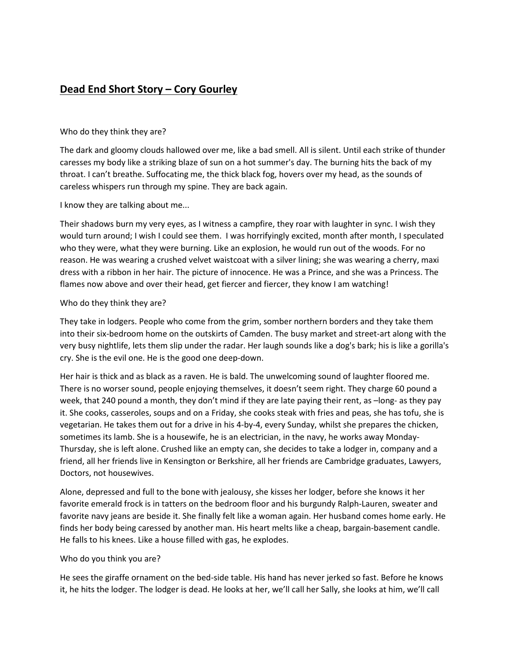## **Dead End Short Story – Cory Gourley**

## Who do they think they are?

The dark and gloomy clouds hallowed over me, like a bad smell. All is silent. Until each strike of thunder caresses my body like a striking blaze of sun on a hot summer's day. The burning hits the back of my throat. I can't breathe. Suffocating me, the thick black fog, hovers over my head, as the sounds of careless whispers run through my spine. They are back again.

I know they are talking about me...

Their shadows burn my very eyes, as I witness a campfire, they roar with laughter in sync. I wish they would turn around; I wish I could see them. I was horrifyingly excited, month after month, I speculated who they were, what they were burning. Like an explosion, he would run out of the woods. For no reason. He was wearing a crushed velvet waistcoat with a silver lining; she was wearing a cherry, maxi dress with a ribbon in her hair. The picture of innocence. He was a Prince, and she was a Princess. The flames now above and over their head, get fiercer and fiercer, they know I am watching!

## Who do they think they are?

They take in lodgers. People who come from the grim, somber northern borders and they take them into their six-bedroom home on the outskirts of Camden. The busy market and street-art along with the very busy nightlife, lets them slip under the radar. Her laugh sounds like a dog's bark; his is like a gorilla's cry. She is the evil one. He is the good one deep-down.

Her hair is thick and as black as a raven. He is bald. The unwelcoming sound of laughter floored me. There is no worser sound, people enjoying themselves, it doesn't seem right. They charge 60 pound a week, that 240 pound a month, they don't mind if they are late paying their rent, as –long- as they pay it. She cooks, casseroles, soups and on a Friday, she cooks steak with fries and peas, she has tofu, she is vegetarian. He takes them out for a drive in his 4-by-4, every Sunday, whilst she prepares the chicken, sometimes its lamb. She is a housewife, he is an electrician, in the navy, he works away Monday-Thursday, she is left alone. Crushed like an empty can, she decides to take a lodger in, company and a friend, all her friends live in Kensington or Berkshire, all her friends are Cambridge graduates, Lawyers, Doctors, not housewives.

Alone, depressed and full to the bone with jealousy, she kisses her lodger, before she knows it her favorite emerald frock is in tatters on the bedroom floor and his burgundy Ralph-Lauren, sweater and favorite navy jeans are beside it. She finally felt like a woman again. Her husband comes home early. He finds her body being caressed by another man. His heart melts like a cheap, bargain-basement candle. He falls to his knees. Like a house filled with gas, he explodes.

## Who do you think you are?

He sees the giraffe ornament on the bed-side table. His hand has never jerked so fast. Before he knows it, he hits the lodger. The lodger is dead. He looks at her, we'll call her Sally, she looks at him, we'll call